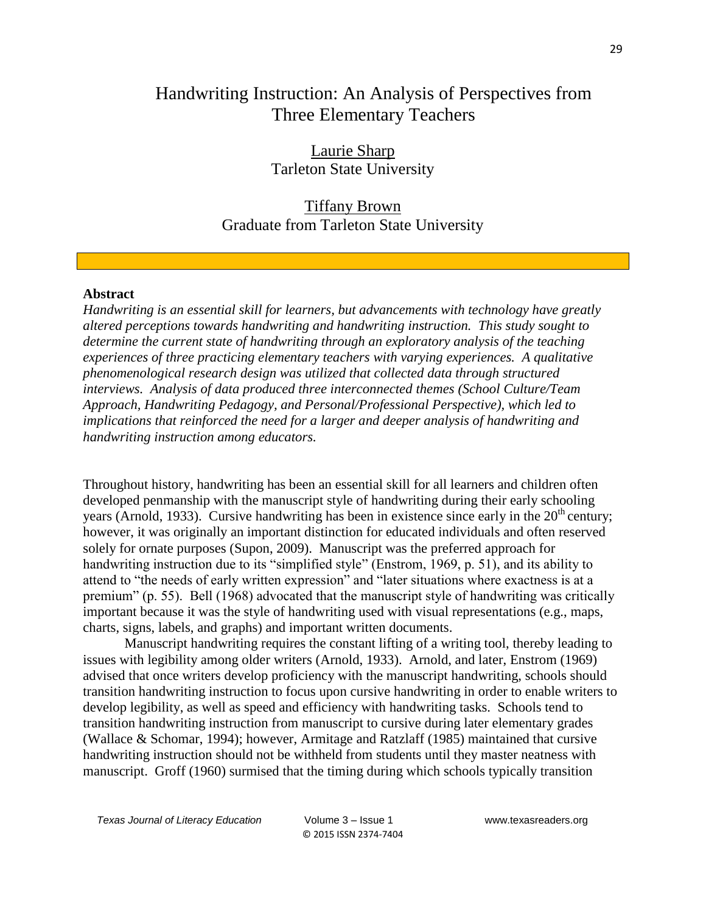# Handwriting Instruction: An Analysis of Perspectives from Three Elementary Teachers

Laurie Sharp Tarleton State University

## Tiffany Brown Graduate from Tarleton State University

#### **Abstract**

*Handwriting is an essential skill for learners, but advancements with technology have greatly altered perceptions towards handwriting and handwriting instruction. This study sought to determine the current state of handwriting through an exploratory analysis of the teaching experiences of three practicing elementary teachers with varying experiences. A qualitative phenomenological research design was utilized that collected data through structured interviews. Analysis of data produced three interconnected themes (School Culture/Team Approach, Handwriting Pedagogy, and Personal/Professional Perspective), which led to implications that reinforced the need for a larger and deeper analysis of handwriting and handwriting instruction among educators.* 

Throughout history, handwriting has been an essential skill for all learners and children often developed penmanship with the manuscript style of handwriting during their early schooling years (Arnold, 1933). Cursive handwriting has been in existence since early in the  $20<sup>th</sup>$  century; however, it was originally an important distinction for educated individuals and often reserved solely for ornate purposes (Supon, 2009). Manuscript was the preferred approach for handwriting instruction due to its "simplified style" (Enstrom, 1969, p. 51), and its ability to attend to "the needs of early written expression" and "later situations where exactness is at a premium" (p. 55). Bell (1968) advocated that the manuscript style of handwriting was critically important because it was the style of handwriting used with visual representations (e.g., maps, charts, signs, labels, and graphs) and important written documents.

Manuscript handwriting requires the constant lifting of a writing tool, thereby leading to issues with legibility among older writers (Arnold, 1933). Arnold, and later, Enstrom (1969) advised that once writers develop proficiency with the manuscript handwriting, schools should transition handwriting instruction to focus upon cursive handwriting in order to enable writers to develop legibility, as well as speed and efficiency with handwriting tasks. Schools tend to transition handwriting instruction from manuscript to cursive during later elementary grades (Wallace & Schomar, 1994); however, Armitage and Ratzlaff (1985) maintained that cursive handwriting instruction should not be withheld from students until they master neatness with manuscript. Groff (1960) surmised that the timing during which schools typically transition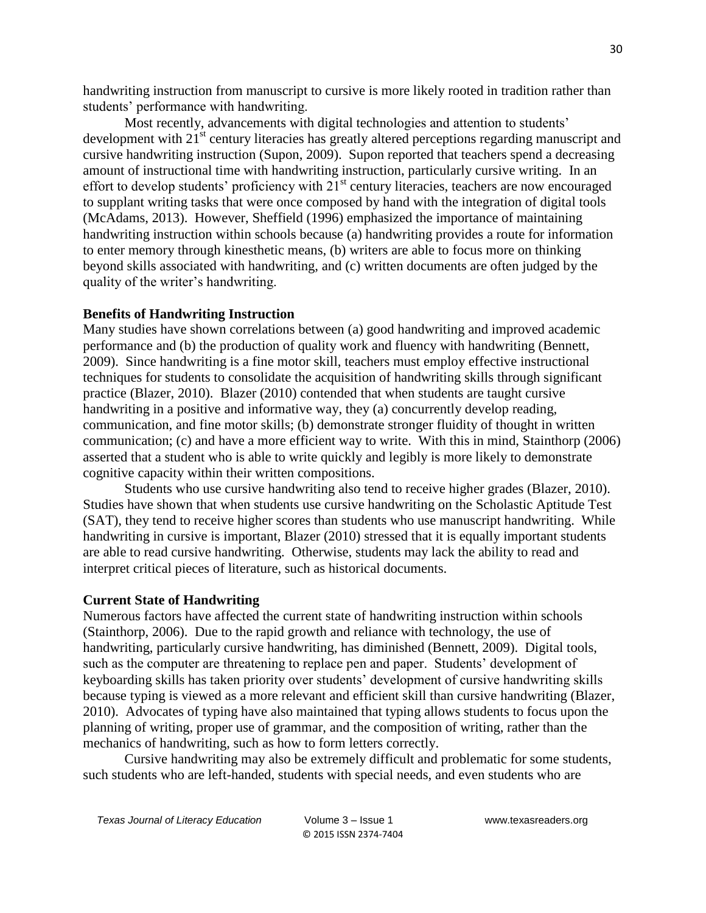handwriting instruction from manuscript to cursive is more likely rooted in tradition rather than students' performance with handwriting.

Most recently, advancements with digital technologies and attention to students' development with 21<sup>st</sup> century literacies has greatly altered perceptions regarding manuscript and cursive handwriting instruction (Supon, 2009). Supon reported that teachers spend a decreasing amount of instructional time with handwriting instruction, particularly cursive writing. In an effort to develop students' proficiency with  $21<sup>st</sup>$  century literacies, teachers are now encouraged to supplant writing tasks that were once composed by hand with the integration of digital tools (McAdams, 2013). However, Sheffield (1996) emphasized the importance of maintaining handwriting instruction within schools because (a) handwriting provides a route for information to enter memory through kinesthetic means, (b) writers are able to focus more on thinking beyond skills associated with handwriting, and (c) written documents are often judged by the quality of the writer's handwriting.

## **Benefits of Handwriting Instruction**

Many studies have shown correlations between (a) good handwriting and improved academic performance and (b) the production of quality work and fluency with handwriting (Bennett, 2009). Since handwriting is a fine motor skill, teachers must employ effective instructional techniques for students to consolidate the acquisition of handwriting skills through significant practice (Blazer, 2010). Blazer (2010) contended that when students are taught cursive handwriting in a positive and informative way, they (a) concurrently develop reading, communication, and fine motor skills; (b) demonstrate stronger fluidity of thought in written communication; (c) and have a more efficient way to write. With this in mind, Stainthorp (2006) asserted that a student who is able to write quickly and legibly is more likely to demonstrate cognitive capacity within their written compositions.

Students who use cursive handwriting also tend to receive higher grades (Blazer, 2010). Studies have shown that when students use cursive handwriting on the Scholastic Aptitude Test (SAT), they tend to receive higher scores than students who use manuscript handwriting. While handwriting in cursive is important, Blazer (2010) stressed that it is equally important students are able to read cursive handwriting. Otherwise, students may lack the ability to read and interpret critical pieces of literature, such as historical documents.

### **Current State of Handwriting**

Numerous factors have affected the current state of handwriting instruction within schools (Stainthorp, 2006). Due to the rapid growth and reliance with technology, the use of handwriting, particularly cursive handwriting, has diminished (Bennett, 2009). Digital tools, such as the computer are threatening to replace pen and paper. Students' development of keyboarding skills has taken priority over students' development of cursive handwriting skills because typing is viewed as a more relevant and efficient skill than cursive handwriting (Blazer, 2010). Advocates of typing have also maintained that typing allows students to focus upon the planning of writing, proper use of grammar, and the composition of writing, rather than the mechanics of handwriting, such as how to form letters correctly.

Cursive handwriting may also be extremely difficult and problematic for some students, such students who are left-handed, students with special needs, and even students who are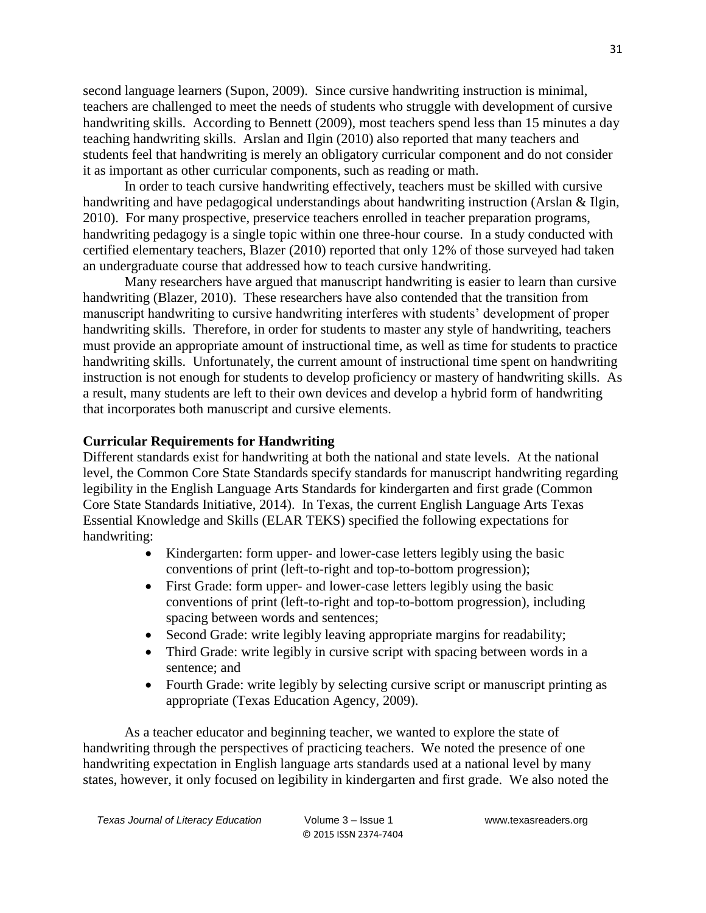second language learners (Supon, 2009). Since cursive handwriting instruction is minimal, teachers are challenged to meet the needs of students who struggle with development of cursive handwriting skills. According to Bennett (2009), most teachers spend less than 15 minutes a day teaching handwriting skills. Arslan and Ilgin (2010) also reported that many teachers and students feel that handwriting is merely an obligatory curricular component and do not consider it as important as other curricular components, such as reading or math.

In order to teach cursive handwriting effectively, teachers must be skilled with cursive handwriting and have pedagogical understandings about handwriting instruction (Arslan & Ilgin, 2010). For many prospective, preservice teachers enrolled in teacher preparation programs, handwriting pedagogy is a single topic within one three-hour course. In a study conducted with certified elementary teachers, Blazer (2010) reported that only 12% of those surveyed had taken an undergraduate course that addressed how to teach cursive handwriting.

Many researchers have argued that manuscript handwriting is easier to learn than cursive handwriting (Blazer, 2010). These researchers have also contended that the transition from manuscript handwriting to cursive handwriting interferes with students' development of proper handwriting skills. Therefore, in order for students to master any style of handwriting, teachers must provide an appropriate amount of instructional time, as well as time for students to practice handwriting skills. Unfortunately, the current amount of instructional time spent on handwriting instruction is not enough for students to develop proficiency or mastery of handwriting skills. As a result, many students are left to their own devices and develop a hybrid form of handwriting that incorporates both manuscript and cursive elements.

## **Curricular Requirements for Handwriting**

Different standards exist for handwriting at both the national and state levels. At the national level, the Common Core State Standards specify standards for manuscript handwriting regarding legibility in the English Language Arts Standards for kindergarten and first grade (Common Core State Standards Initiative, 2014). In Texas, the current English Language Arts Texas Essential Knowledge and Skills (ELAR TEKS) specified the following expectations for handwriting:

- Kindergarten: form upper- and lower-case letters legibly using the basic conventions of print (left-to-right and top-to-bottom progression);
- First Grade: form upper- and lower-case letters legibly using the basic conventions of print (left-to-right and top-to-bottom progression), including spacing between words and sentences;
- Second Grade: write legibly leaving appropriate margins for readability;
- Third Grade: write legibly in cursive script with spacing between words in a sentence; and
- Fourth Grade: write legibly by selecting cursive script or manuscript printing as appropriate (Texas Education Agency, 2009).

As a teacher educator and beginning teacher, we wanted to explore the state of handwriting through the perspectives of practicing teachers. We noted the presence of one handwriting expectation in English language arts standards used at a national level by many states, however, it only focused on legibility in kindergarten and first grade. We also noted the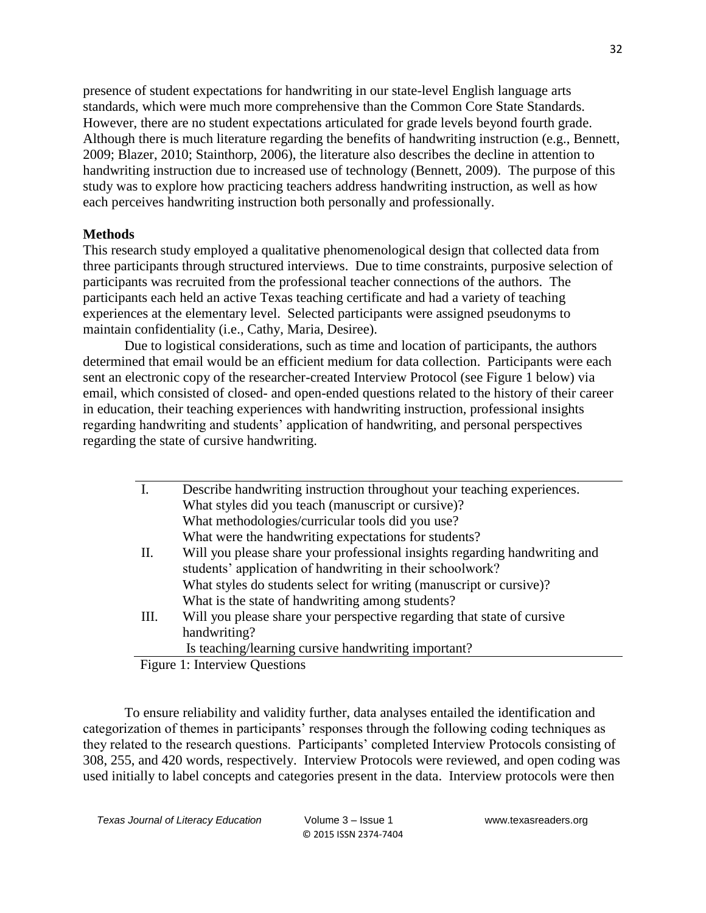presence of student expectations for handwriting in our state-level English language arts standards, which were much more comprehensive than the Common Core State Standards. However, there are no student expectations articulated for grade levels beyond fourth grade. Although there is much literature regarding the benefits of handwriting instruction (e.g., Bennett, 2009; Blazer, 2010; Stainthorp, 2006), the literature also describes the decline in attention to handwriting instruction due to increased use of technology (Bennett, 2009). The purpose of this study was to explore how practicing teachers address handwriting instruction, as well as how each perceives handwriting instruction both personally and professionally.

## **Methods**

This research study employed a qualitative phenomenological design that collected data from three participants through structured interviews. Due to time constraints, purposive selection of participants was recruited from the professional teacher connections of the authors. The participants each held an active Texas teaching certificate and had a variety of teaching experiences at the elementary level. Selected participants were assigned pseudonyms to maintain confidentiality (i.e., Cathy, Maria, Desiree).

Due to logistical considerations, such as time and location of participants, the authors determined that email would be an efficient medium for data collection. Participants were each sent an electronic copy of the researcher-created Interview Protocol (see Figure 1 below) via email, which consisted of closed- and open-ended questions related to the history of their career in education, their teaching experiences with handwriting instruction, professional insights regarding handwriting and students' application of handwriting, and personal perspectives regarding the state of cursive handwriting.

|                                       | Describe handwriting instruction throughout your teaching experiences.     |
|---------------------------------------|----------------------------------------------------------------------------|
|                                       | What styles did you teach (manuscript or cursive)?                         |
|                                       | What methodologies/curricular tools did you use?                           |
|                                       | What were the handwriting expectations for students?                       |
| II.                                   | Will you please share your professional insights regarding handwriting and |
|                                       | students' application of handwriting in their schoolwork?                  |
|                                       | What styles do students select for writing (manuscript or cursive)?        |
|                                       | What is the state of handwriting among students?                           |
| III.                                  | Will you please share your perspective regarding that state of cursive     |
|                                       | handwriting?                                                               |
|                                       | Is teaching/learning cursive handwriting important?                        |
| $\Gamma$ igura 1. Interview Questions |                                                                            |

Figure 1: Interview Questions

To ensure reliability and validity further, data analyses entailed the identification and categorization of themes in participants' responses through the following coding techniques as they related to the research questions. Participants' completed Interview Protocols consisting of 308, 255, and 420 words, respectively. Interview Protocols were reviewed, and open coding was used initially to label concepts and categories present in the data. Interview protocols were then

*Texas Journal of Literacy Education* Volume 3 – Issue 1 www.texasreaders.org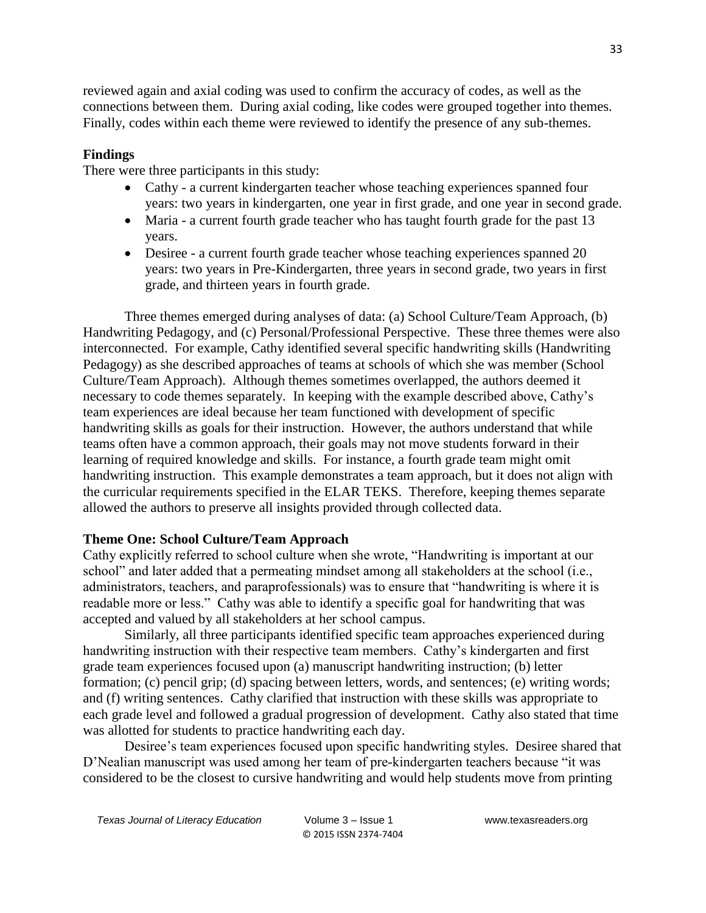reviewed again and axial coding was used to confirm the accuracy of codes, as well as the connections between them. During axial coding, like codes were grouped together into themes. Finally, codes within each theme were reviewed to identify the presence of any sub-themes.

## **Findings**

There were three participants in this study:

- Cathy a current kindergarten teacher whose teaching experiences spanned four years: two years in kindergarten, one year in first grade, and one year in second grade.
- Maria a current fourth grade teacher who has taught fourth grade for the past 13 years.
- Desiree a current fourth grade teacher whose teaching experiences spanned 20 years: two years in Pre-Kindergarten, three years in second grade, two years in first grade, and thirteen years in fourth grade.

Three themes emerged during analyses of data: (a) School Culture/Team Approach, (b) Handwriting Pedagogy, and (c) Personal/Professional Perspective. These three themes were also interconnected. For example, Cathy identified several specific handwriting skills (Handwriting Pedagogy) as she described approaches of teams at schools of which she was member (School Culture/Team Approach). Although themes sometimes overlapped, the authors deemed it necessary to code themes separately. In keeping with the example described above, Cathy's team experiences are ideal because her team functioned with development of specific handwriting skills as goals for their instruction. However, the authors understand that while teams often have a common approach, their goals may not move students forward in their learning of required knowledge and skills. For instance, a fourth grade team might omit handwriting instruction. This example demonstrates a team approach, but it does not align with the curricular requirements specified in the ELAR TEKS. Therefore, keeping themes separate allowed the authors to preserve all insights provided through collected data.

## **Theme One: School Culture/Team Approach**

Cathy explicitly referred to school culture when she wrote, "Handwriting is important at our school" and later added that a permeating mindset among all stakeholders at the school (i.e., administrators, teachers, and paraprofessionals) was to ensure that "handwriting is where it is readable more or less." Cathy was able to identify a specific goal for handwriting that was accepted and valued by all stakeholders at her school campus.

Similarly, all three participants identified specific team approaches experienced during handwriting instruction with their respective team members. Cathy's kindergarten and first grade team experiences focused upon (a) manuscript handwriting instruction; (b) letter formation; (c) pencil grip; (d) spacing between letters, words, and sentences; (e) writing words; and (f) writing sentences. Cathy clarified that instruction with these skills was appropriate to each grade level and followed a gradual progression of development. Cathy also stated that time was allotted for students to practice handwriting each day.

Desiree's team experiences focused upon specific handwriting styles. Desiree shared that D'Nealian manuscript was used among her team of pre-kindergarten teachers because "it was considered to be the closest to cursive handwriting and would help students move from printing

*Texas Journal of Literacy Education* Volume 3 – Issue 1 www.texasreaders.org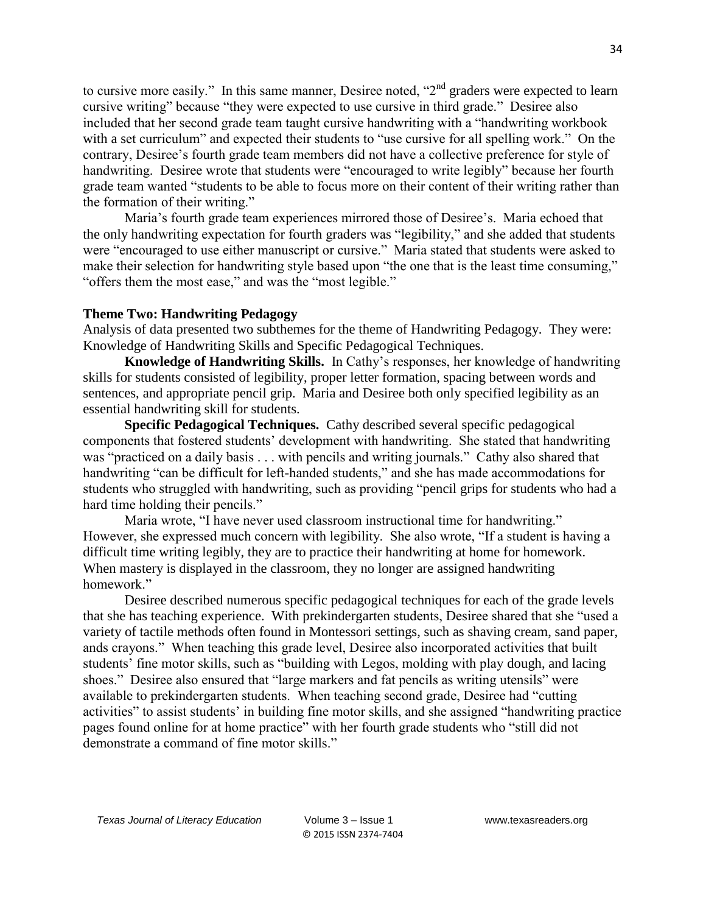to cursive more easily." In this same manner, Desiree noted, "2<sup>nd</sup> graders were expected to learn cursive writing" because "they were expected to use cursive in third grade." Desiree also included that her second grade team taught cursive handwriting with a "handwriting workbook with a set curriculum" and expected their students to "use cursive for all spelling work." On the contrary, Desiree's fourth grade team members did not have a collective preference for style of handwriting. Desiree wrote that students were "encouraged to write legibly" because her fourth grade team wanted "students to be able to focus more on their content of their writing rather than the formation of their writing."

Maria's fourth grade team experiences mirrored those of Desiree's. Maria echoed that the only handwriting expectation for fourth graders was "legibility," and she added that students were "encouraged to use either manuscript or cursive." Maria stated that students were asked to make their selection for handwriting style based upon "the one that is the least time consuming," "offers them the most ease," and was the "most legible."

### **Theme Two: Handwriting Pedagogy**

Analysis of data presented two subthemes for the theme of Handwriting Pedagogy. They were: Knowledge of Handwriting Skills and Specific Pedagogical Techniques.

**Knowledge of Handwriting Skills.** In Cathy's responses, her knowledge of handwriting skills for students consisted of legibility, proper letter formation, spacing between words and sentences, and appropriate pencil grip. Maria and Desiree both only specified legibility as an essential handwriting skill for students.

**Specific Pedagogical Techniques.** Cathy described several specific pedagogical components that fostered students' development with handwriting. She stated that handwriting was "practiced on a daily basis . . . with pencils and writing journals." Cathy also shared that handwriting "can be difficult for left-handed students," and she has made accommodations for students who struggled with handwriting, such as providing "pencil grips for students who had a hard time holding their pencils."

Maria wrote, "I have never used classroom instructional time for handwriting." However, she expressed much concern with legibility. She also wrote, "If a student is having a difficult time writing legibly, they are to practice their handwriting at home for homework. When mastery is displayed in the classroom, they no longer are assigned handwriting homework."

Desiree described numerous specific pedagogical techniques for each of the grade levels that she has teaching experience. With prekindergarten students, Desiree shared that she "used a variety of tactile methods often found in Montessori settings, such as shaving cream, sand paper, ands crayons." When teaching this grade level, Desiree also incorporated activities that built students' fine motor skills, such as "building with Legos, molding with play dough, and lacing shoes." Desiree also ensured that "large markers and fat pencils as writing utensils" were available to prekindergarten students. When teaching second grade, Desiree had "cutting activities" to assist students' in building fine motor skills, and she assigned "handwriting practice pages found online for at home practice" with her fourth grade students who "still did not demonstrate a command of fine motor skills."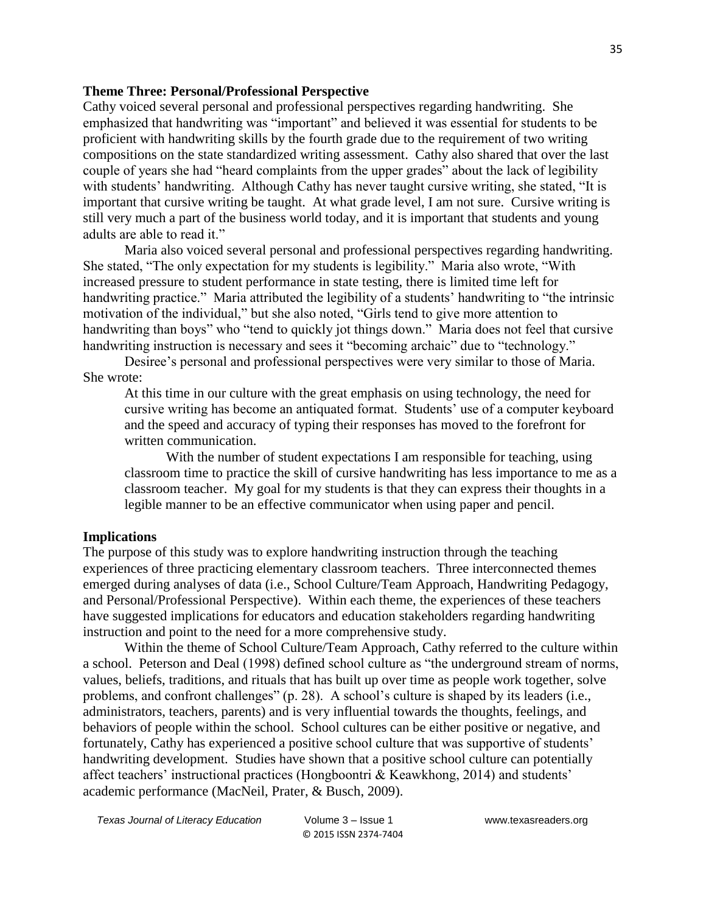#### **Theme Three: Personal/Professional Perspective**

Cathy voiced several personal and professional perspectives regarding handwriting. She emphasized that handwriting was "important" and believed it was essential for students to be proficient with handwriting skills by the fourth grade due to the requirement of two writing compositions on the state standardized writing assessment. Cathy also shared that over the last couple of years she had "heard complaints from the upper grades" about the lack of legibility with students' handwriting. Although Cathy has never taught cursive writing, she stated, "It is important that cursive writing be taught. At what grade level, I am not sure. Cursive writing is still very much a part of the business world today, and it is important that students and young adults are able to read it."

Maria also voiced several personal and professional perspectives regarding handwriting. She stated, "The only expectation for my students is legibility." Maria also wrote, "With increased pressure to student performance in state testing, there is limited time left for handwriting practice." Maria attributed the legibility of a students' handwriting to "the intrinsic motivation of the individual," but she also noted, "Girls tend to give more attention to handwriting than boys" who "tend to quickly jot things down." Maria does not feel that cursive handwriting instruction is necessary and sees it "becoming archaic" due to "technology."

Desiree's personal and professional perspectives were very similar to those of Maria. She wrote:

At this time in our culture with the great emphasis on using technology, the need for cursive writing has become an antiquated format. Students' use of a computer keyboard and the speed and accuracy of typing their responses has moved to the forefront for written communication.

With the number of student expectations I am responsible for teaching, using classroom time to practice the skill of cursive handwriting has less importance to me as a classroom teacher. My goal for my students is that they can express their thoughts in a legible manner to be an effective communicator when using paper and pencil.

#### **Implications**

The purpose of this study was to explore handwriting instruction through the teaching experiences of three practicing elementary classroom teachers. Three interconnected themes emerged during analyses of data (i.e., School Culture/Team Approach, Handwriting Pedagogy, and Personal/Professional Perspective). Within each theme, the experiences of these teachers have suggested implications for educators and education stakeholders regarding handwriting instruction and point to the need for a more comprehensive study.

Within the theme of School Culture/Team Approach, Cathy referred to the culture within a school. Peterson and Deal (1998) defined school culture as "the underground stream of norms, values, beliefs, traditions, and rituals that has built up over time as people work together, solve problems, and confront challenges" (p. 28). A school's culture is shaped by its leaders (i.e., administrators, teachers, parents) and is very influential towards the thoughts, feelings, and behaviors of people within the school. School cultures can be either positive or negative, and fortunately, Cathy has experienced a positive school culture that was supportive of students' handwriting development. Studies have shown that a positive school culture can potentially affect teachers' instructional practices (Hongboontri & Keawkhong, 2014) and students' academic performance (MacNeil, Prater, & Busch, 2009).

*Texas Journal of Literacy Education* Volume 3 – Issue 1 www.texasreaders.org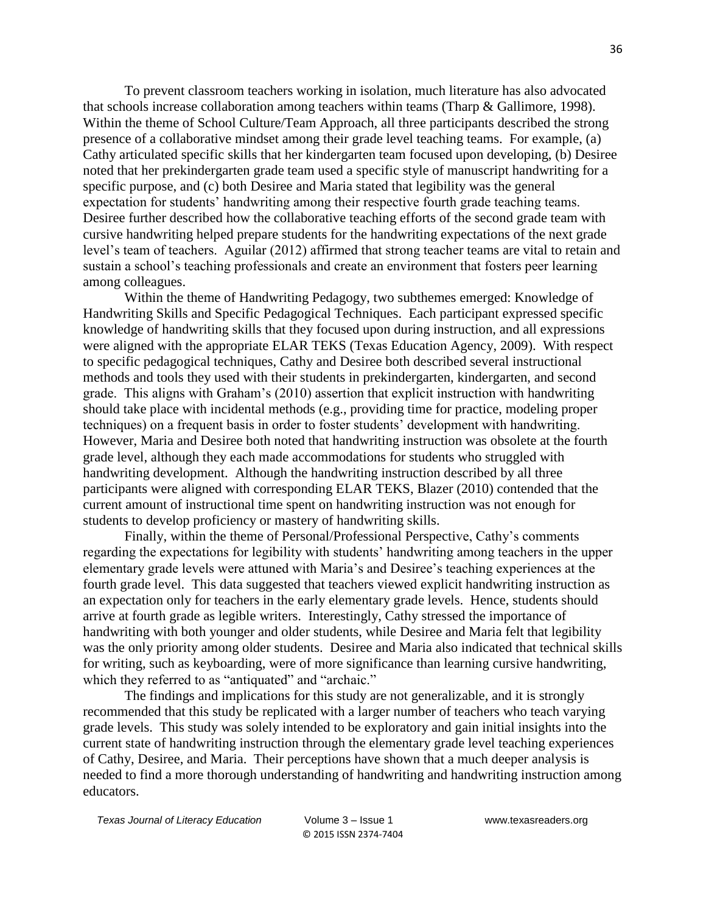To prevent classroom teachers working in isolation, much literature has also advocated that schools increase collaboration among teachers within teams (Tharp & Gallimore, 1998). Within the theme of School Culture/Team Approach, all three participants described the strong presence of a collaborative mindset among their grade level teaching teams. For example, (a) Cathy articulated specific skills that her kindergarten team focused upon developing, (b) Desiree noted that her prekindergarten grade team used a specific style of manuscript handwriting for a specific purpose, and (c) both Desiree and Maria stated that legibility was the general expectation for students' handwriting among their respective fourth grade teaching teams. Desiree further described how the collaborative teaching efforts of the second grade team with cursive handwriting helped prepare students for the handwriting expectations of the next grade level's team of teachers. Aguilar (2012) affirmed that strong teacher teams are vital to retain and sustain a school's teaching professionals and create an environment that fosters peer learning among colleagues.

Within the theme of Handwriting Pedagogy, two subthemes emerged: Knowledge of Handwriting Skills and Specific Pedagogical Techniques. Each participant expressed specific knowledge of handwriting skills that they focused upon during instruction, and all expressions were aligned with the appropriate ELAR TEKS (Texas Education Agency, 2009). With respect to specific pedagogical techniques, Cathy and Desiree both described several instructional methods and tools they used with their students in prekindergarten, kindergarten, and second grade. This aligns with Graham's (2010) assertion that explicit instruction with handwriting should take place with incidental methods (e.g., providing time for practice, modeling proper techniques) on a frequent basis in order to foster students' development with handwriting. However, Maria and Desiree both noted that handwriting instruction was obsolete at the fourth grade level, although they each made accommodations for students who struggled with handwriting development. Although the handwriting instruction described by all three participants were aligned with corresponding ELAR TEKS, Blazer (2010) contended that the current amount of instructional time spent on handwriting instruction was not enough for students to develop proficiency or mastery of handwriting skills.

Finally, within the theme of Personal/Professional Perspective, Cathy's comments regarding the expectations for legibility with students' handwriting among teachers in the upper elementary grade levels were attuned with Maria's and Desiree's teaching experiences at the fourth grade level. This data suggested that teachers viewed explicit handwriting instruction as an expectation only for teachers in the early elementary grade levels. Hence, students should arrive at fourth grade as legible writers. Interestingly, Cathy stressed the importance of handwriting with both younger and older students, while Desiree and Maria felt that legibility was the only priority among older students. Desiree and Maria also indicated that technical skills for writing, such as keyboarding, were of more significance than learning cursive handwriting, which they referred to as "antiquated" and "archaic."

The findings and implications for this study are not generalizable, and it is strongly recommended that this study be replicated with a larger number of teachers who teach varying grade levels. This study was solely intended to be exploratory and gain initial insights into the current state of handwriting instruction through the elementary grade level teaching experiences of Cathy, Desiree, and Maria. Their perceptions have shown that a much deeper analysis is needed to find a more thorough understanding of handwriting and handwriting instruction among educators.